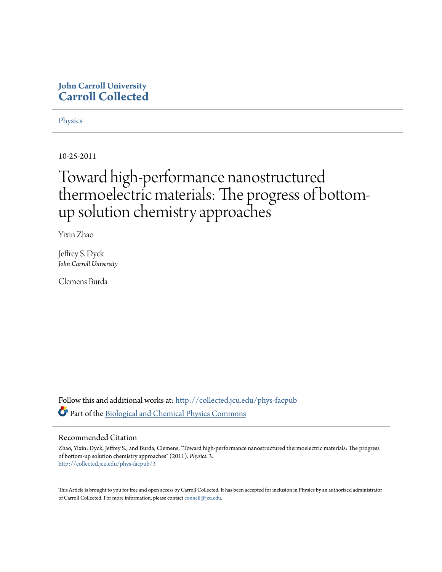## **John Carroll University [Carroll Collected](http://collected.jcu.edu?utm_source=collected.jcu.edu%2Fphys-facpub%2F3&utm_medium=PDF&utm_campaign=PDFCoverPages)**

**[Physics](http://collected.jcu.edu/phys-facpub?utm_source=collected.jcu.edu%2Fphys-facpub%2F3&utm_medium=PDF&utm_campaign=PDFCoverPages)** 

10-25-2011

# Toward high-performance nanostructured thermoelectric materials: The progress of bottomup solution chemistry approaches

Yixin Zhao

Jeffrey S. Dyck *John Carroll University*

Clemens Burda

Follow this and additional works at: [http://collected.jcu.edu/phys-facpub](http://collected.jcu.edu/phys-facpub?utm_source=collected.jcu.edu%2Fphys-facpub%2F3&utm_medium=PDF&utm_campaign=PDFCoverPages) Part of the [Biological and Chemical Physics Commons](http://network.bepress.com/hgg/discipline/196?utm_source=collected.jcu.edu%2Fphys-facpub%2F3&utm_medium=PDF&utm_campaign=PDFCoverPages)

### Recommended Citation

Zhao, Yixin; Dyck, Jeffrey S.; and Burda, Clemens, "Toward high-performance nanostructured thermoelectric materials: The progress of bottom-up solution chemistry approaches" (2011). *Physics*. 3. [http://collected.jcu.edu/phys-facpub/3](http://collected.jcu.edu/phys-facpub/3?utm_source=collected.jcu.edu%2Fphys-facpub%2F3&utm_medium=PDF&utm_campaign=PDFCoverPages)

This Article is brought to you for free and open access by Carroll Collected. It has been accepted for inclusion in Physics by an authorized administrator of Carroll Collected. For more information, please contact [connell@jcu.edu](mailto:connell@jcu.edu).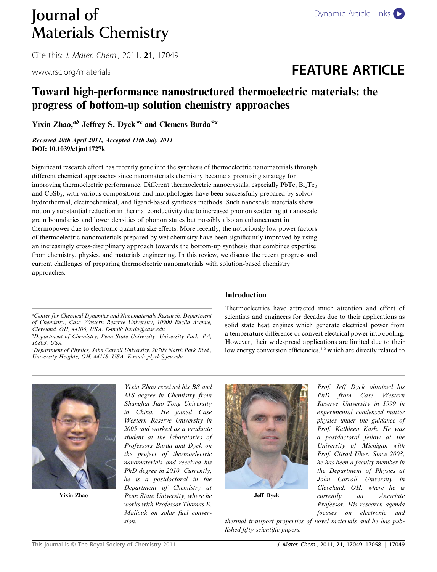# Journal of [Dynamic Article Links](http://dx.doi.org/10.1039/c1jm11727k) Materials Chemistry

Cite this: *J. Mater. Chem.*, 2011, **21**, 17049

# www.rsc.org/materials **FEATURE ARTICLE**

# Toward high-performance nanostructured thermoelectric materials: the progress of bottom-up solution chemistry approaches

Yixin Zhao,<sup>ab</sup> Jeffrey S. Dyck<sup>\*c</sup> and Clemens Burda<sup>\*a</sup>

Received 20th April 2011, Accepted 11th July 2011 DOI: 10.1039/c1jm11727k

Significant research effort has recently gone into the synthesis of thermoelectric nanomaterials through different chemical approaches since nanomaterials chemistry became a promising strategy for improving thermoelectric performance. Different thermoelectric nanocrystals, especially PbTe,  $Bi<sub>2</sub>Te<sub>3</sub>$ and  $CoSb<sub>3</sub>$ , with various compositions and morphologies have been successfully prepared by solvo/ hydrothermal, electrochemical, and ligand-based synthesis methods. Such nanoscale materials show not only substantial reduction in thermal conductivity due to increased phonon scattering at nanoscale grain boundaries and lower densities of phonon states but possibly also an enhancement in thermopower due to electronic quantum size effects. More recently, the notoriously low power factors of thermoelectric nanomaterials prepared by wet chemistry have been significantly improved by using an increasingly cross-disciplinary approach towards the bottom-up synthesis that combines expertise from chemistry, physics, and materials engineering. In this review, we discuss the recent progress and current challenges of preparing thermoelectric nanomaterials with solution-based chemistry approaches.

b Department of Chemistry, Penn State University, University Park, PA, 16803, USA

c Department of Physics, John Carroll University, 20700 North Park Blvd., University Heights, OH, 44118, USA. E-mail: jdyck@jcu.edu

### Introduction

Thermoelectrics have attracted much attention and effort of scientists and engineers for decades due to their applications as solid state heat engines which generate electrical power from a temperature difference or convert electrical power into cooling. However, their widespread applications are limited due to their low energy conversion efficiencies,<sup>1,2</sup> which are directly related to



Yixin Zhao

Yixin Zhao received his BS and MS degree in Chemistry from Shanghai Jiao Tong University in China. He joined Case Western Reserve University in 2005 and worked as a graduate student at the laboratories of Professors Burda and Dyck on the project of thermoelectric nanomaterials and received his PhD degree in 2010. Currently, he is a postdoctoral in the Department of Chemistry at Penn State University, where he works with Professor Thomas E. Mallouk on solar fuel conversion.



Jeff Dyck

Prof. Jeff Dyck obtained his PhD from Case Western Reserve University in 1999 in experimental condensed matter physics under the guidance of Prof. Kathleen Kash. He was a postdoctoral fellow at the University of Michigan with Prof. Ctirad Uher. Since 2003, he has been a faculty member in the Department of Physics at John Carroll University in Cleveland, OH, where he is currently an Associate Professor. His research agenda focuses on electronic and

thermal transport properties of novel materials and he has published fifty scientific papers.

a Center for Chemical Dynamics and Nanomaterials Research, Department of Chemistry, Case Western Reserve University, 10900 Euclid Avenue, Cleveland, OH, 44106, USA. E-mail: burda@case.edu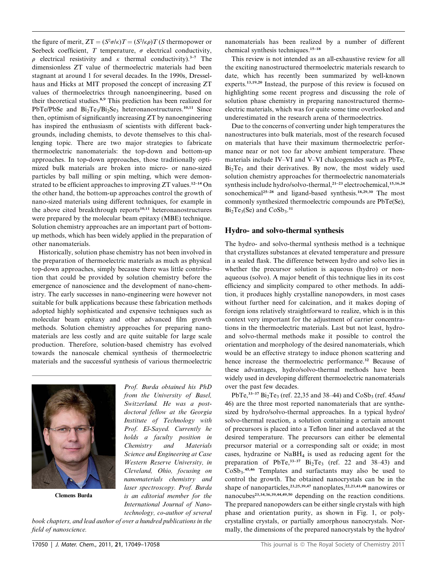the figure of merit,  $ZT = (S^2 \sigma / \kappa)T = (S^2 / \kappa \rho)T$  (S thermopower or Seebeck coefficient,  $T$  temperature,  $\sigma$  electrical conductivity,  $\rho$  electrical resistivity and  $\kappa$  thermal conductivity).<sup>3–7</sup> The dimensionless ZT value of thermoelectric materials had been stagnant at around 1 for several decades. In the 1990s, Dresselhaus and Hicks at MIT proposed the concept of increasing ZT values of thermoelectrics through nanoengineering, based on their theoretical studies.8,9 This prediction has been realized for PbTe/PbSe and  $Bi_2Te_3/Bi_2Se_3$  heteronanostructures.<sup>10,11</sup> Since then, optimism of significantly increasing ZT by nanoengineering has inspired the enthusiasm of scientists with different backgrounds, including chemists, to devote themselves to this challenging topic. There are two major strategies to fabricate thermoelectric nanomaterials: the top-down and bottom-up approaches. In top-down approaches, those traditionally optimized bulk materials are broken into micro- or nano-sized particles by ball milling or spin melting, which were demonstrated to be efficient approaches to improving ZT values.<sup>12-14</sup> On the other hand, the bottom-up approaches control the growth of nano-sized materials using different techniques, for example in the above cited breakthrough reports $10,11$  heteronanostructures were prepared by the molecular beam epitaxy (MBE) technique. Solution chemistry approaches are an important part of bottomup methods, which has been widely applied in the preparation of other nanomaterials.

Historically, solution phase chemistry has not been involved in the preparation of thermoelectric materials as much as physical top-down approaches, simply because there was little contribution that could be provided by solution chemistry before the emergence of nanoscience and the development of nano-chemistry. The early successes in nano-engineering were however not suitable for bulk applications because these fabrication methods adopted highly sophisticated and expensive techniques such as molecular beam epitaxy and other advanced film growth methods. Solution chemistry approaches for preparing nanomaterials are less costly and are quite suitable for large scale production. Therefore, solution-based chemistry has evolved towards the nanoscale chemical synthesis of thermoelectric materials and the successful synthesis of various thermoelectric



Clemens Burda

Prof. Burda obtained his PhD from the University of Basel, Switzerland. He was a postdoctoral fellow at the Georgia Institute of Technology with Prof. El-Sayed. Currently he holds a faculty position in Chemistry and Materials Science and Engineering at Case Western Reserve University, in Cleveland, Ohio, focusing on nanomaterials chemistry and laser spectroscopy. Prof. Burda is an editorial member for the International Journal of Nanotechnology, co-author of several

book chapters, and lead author of over a hundred publications in the field of nanoscience.

nanomaterials has been realized by a number of different chemical synthesis techniques.15–18

This review is not intended as an all-exhaustive review for all the exciting nanostructured thermoelectric materials research to date, which has recently been summarized by well-known experts.13,19,20 Instead, the purpose of this review is focused on highlighting some recent progress and discussing the role of solution phase chemistry in preparing nanostructured thermoelectric materials, which was for quite some time overlooked and underestimated in the research arena of thermoelectrics.

Due to the concerns of converting under high temperatures the nanostructures into bulk materials, most of the research focused on materials that have their maximum thermoelectric performance near or not too far above ambient temperature. These materials include IV–VI and V–VI chalcogenides such as PbTe,  $Bi<sub>2</sub>Te<sub>3</sub>$  and their derivatives. By now, the most widely used solution chemistry approaches for thermoelectric nanomaterials synthesis include hydro/solvo-thermal,<sup>21-23</sup> electrochemical,<sup>15,16,24</sup> sonochemical<sup>25–28</sup> and ligand-based synthesis.<sup>18,29,30</sup> The most commonly synthesized thermoelectric compounds are PbTe(Se),  $Bi<sub>2</sub>Te<sub>3</sub>(Se)$  and  $CoSb<sub>3</sub>.<sup>31</sup>$ 

#### Hydro- and solvo-thermal synthesis

The hydro- and solvo-thermal synthesis method is a technique that crystallizes substances at elevated temperature and pressure in a sealed flask. The difference between hydro and solvo lies in whether the precursor solution is aqueous (hydro) or nonaqueous (solvo). A major benefit of this technique lies in its cost efficiency and simplicity compared to other methods. In addition, it produces highly crystalline nanopowders, in most cases without further need for calcination, and it makes doping of foreign ions relatively straightforward to realize, which is in this context very important for the adjustment of carrier concentrations in the thermoelectric materials. Last but not least, hydroand solvo-thermal methods make it possible to control the orientation and morphology of the desired nanomaterials, which would be an effective strategy to induce phonon scattering and hence increase the thermoelectric performance.<sup>32</sup> Because of these advantages, hydro/solvo-thermal methods have been widely used in developing different thermoelectric nanomaterials over the past few decades.

PbTe,<sup>33-37</sup> Bi<sub>2</sub>Te<sub>3</sub> (ref. 22,35 and 38–44) and CoSb<sub>3</sub> (ref. 45*and*) 46) are the three most reported nanomaterials that are synthesized by hydro/solvo-thermal approaches. In a typical hydro/ solvo-thermal reaction, a solution containing a certain amount of precursors is placed into a Teflon liner and autoclaved at the desired temperature. The precursors can either be elemental precursor material or a corresponding salt or oxide; in most cases, hydrazine or NaBH4 is used as reducing agent for the preparation of PbTe, $33-37$  Bi<sub>2</sub>Te<sub>3</sub> (ref. 22 and 38-43) and CoSb3. 45,46 Templates and surfactants may also be used to control the growth. The obtained nanocrystals can be in the shape of nanoparticles,<sup>23,25,39,47</sup> nanoplates,<sup>22,23,41,48</sup> nanowires or nanocubes<sup>23,34,36,39,44,49,50</sup> depending on the reaction conditions. The prepared nanopowders can be either single crystals with high phase and orientation purity, as shown in Fig. 1, or polycrystalline crystals, or partially amorphous nanocrystals. Normally, the dimensions of the prepared nanocrystals by the hydro/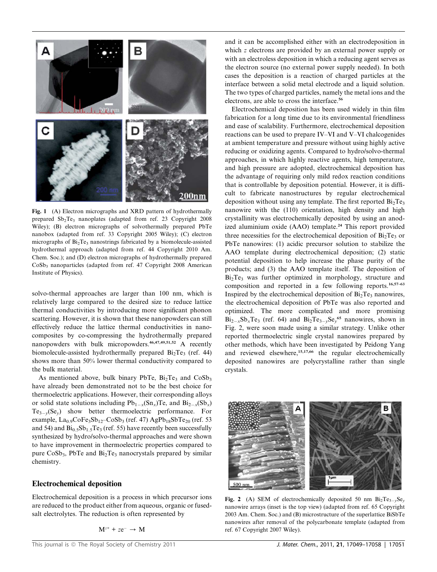

Fig. 1 (A) Electron micrographs and XRD pattern of hydrothermally prepared  $Sb_2Te_3$  nanoplates (adapted from ref. 23 Copyright 2008 Wiley); (B) electron micrographs of solvothermally prepared PbTe nanobox (adapted from ref. 33 Copyright 2005 Wiley); (C) electron micrographs of  $Bi<sub>2</sub>Te<sub>3</sub>$  nanostrings fabricated by a biomolecule-assisted hydrothermal approach (adapted from ref. 44 Copyright 2010 Am. Chem. Soc.); and (D) electron micrographs of hydrothermally prepared CoSb<sub>3</sub> nanoparticles (adapted from ref. 47 Copyright 2008 American Institute of Physics).

solvo-thermal approaches are larger than 100 nm, which is relatively large compared to the desired size to reduce lattice thermal conductivities by introducing more significant phonon scattering. However, it is shown that these nanopowders can still effectively reduce the lattice thermal conductivities in nanocomposites by co-compressing the hydrothermally prepared nanopowders with bulk micropowders.46,47,49,51,52 A recently biomolecule-assisted hydrothermally prepared  $Bi<sub>2</sub>Te<sub>3</sub>$  (ref. 44) shows more than 50% lower thermal conductivity compared to the bulk material.

As mentioned above, bulk binary PbTe,  $Bi_2Te_3$  and  $CoSb_3$ have already been demonstrated not to be the best choice for thermoelectric applications. However, their corresponding alloys or solid state solutions including  $Pb_{1-x}(Sn_x)Te$ , and  $Bi_{2-x}(Sb_x)$  $Te_{3-y}(Se_y)$  show better thermoelectric performance. For example,  $La_{0.9}CoFe_3Sb_{12}$ – $CoSb_3$  (ref. 47)  $AgPb_{18}SbTe_{20}$  (ref. 53 and 54) and  $Bi_{0.5}Sb_{1.5}Te_3$  (ref. 55) have recently been successfully synthesized by hydro/solvo-thermal approaches and were shown to have improvement in thermoelectric properties compared to pure  $CoSb_3$ , PbTe and  $Bi_2Te_3$  nanocrystals prepared by similar chemistry.

#### Electrochemical deposition

Electrochemical deposition is a process in which precursor ions are reduced to the product either from aqueous, organic or fusedsalt electrolytes. The reduction is often represented by

 $M^{z+}$  +  $ze^ \rightarrow$  M

and it can be accomplished either with an electrodeposition in which z electrons are provided by an external power supply or with an electroless deposition in which a reducing agent serves as the electron source (no external power supply needed). In both cases the deposition is a reaction of charged particles at the interface between a solid metal electrode and a liquid solution. The two types of charged particles, namely the metal ions and the electrons, are able to cross the interface.<sup>56</sup>

Electrochemical deposition has been used widely in thin film fabrication for a long time due to its environmental friendliness and ease of scalability. Furthermore, electrochemical deposition reactions can be used to prepare IV–VI and V–VI chalcogenides at ambient temperature and pressure without using highly active reducing or oxidizing agents. Compared to hydro/solvo-thermal approaches, in which highly reactive agents, high temperature, and high pressure are adopted, electrochemical deposition has the advantage of requiring only mild redox reaction conditions that is controllable by deposition potential. However, it is difficult to fabricate nanostructures by regular electrochemical deposition without using any template. The first reported  $Bi_2Te_3$ nanowire with the (110) orientation, high density and high crystallinity was electrochemically deposited by using an anodized aluminium oxide (AAO) template.<sup>24</sup> This report provided three necessities for the electrochemical deposition of  $Bi<sub>2</sub>Te<sub>3</sub>$  or PbTe nanowires: (1) acidic precursor solution to stabilize the AAO template during electrochemical deposition; (2) static potential deposition to help increase the phase purity of the products; and (3) the AAO template itself. The deposition of Bi<sub>2</sub>Te<sub>3</sub> was further optimized in morphology, structure and composition and reported in a few following reports.16,57–63 Inspired by the electrochemical deposition of  $Bi<sub>2</sub>Te<sub>3</sub>$  nanowires, the electrochemical deposition of PbTe was also reported and optimized. The more complicated and more promising  $Bi_{2-x}Sb_xTe_3$  (ref. 64) and  $Bi_2Te_{3-y}Se_y^{65}$  nanowires, shown in Fig. 2, were soon made using a similar strategy. Unlike other reported thermoelectric single crystal nanowires prepared by other methods, which have been investigated by Peidong Yang and reviewed elsewhere,<sup>15,17,66</sup> the regular electrochemically deposited nanowires are polycrystalline rather than single crystals.



Fig. 2 (A) SEM of electrochemically deposited 50 nm  $Bi_2Te_{3-y}Se_y$ nanowire arrays (inset is the top view) (adapted from ref. 65 Copyright 2003 Am. Chem. Soc.) and (B) microstructure of the superlattice BiSbTe nanowires after removal of the polycarbonate template (adapted from ref. 67 Copyright 2007 Wiley).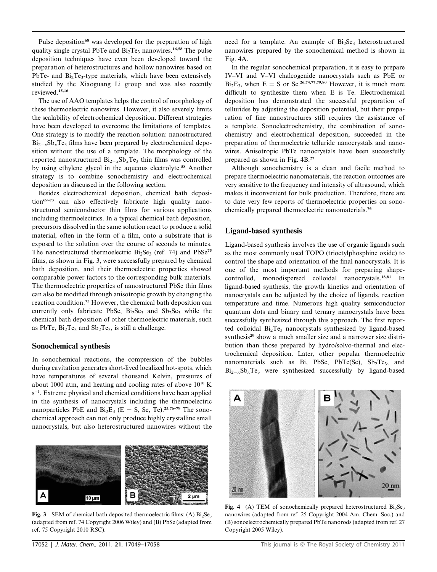Pulse deposition<sup>68</sup> was developed for the preparation of high quality single crystal PbTe and  $Bi<sub>2</sub>Te<sub>3</sub>$  nanowires.<sup>16,58</sup> The pulse deposition techniques have even been developed toward the preparation of heterostructures and hollow nanowires based on PbTe- and  $Bi<sub>2</sub>Te<sub>3</sub>$ -type materials, which have been extensively studied by the Xiaoguang Li group and was also recently reviewed.15,16

The use of AAO templates helps the control of morphology of these thermoelectric nanowires. However, it also severely limits the scalability of electrochemical deposition. Different strategies have been developed to overcome the limitations of templates. One strategy is to modify the reaction solution: nanostructured  $Bi_{2-x}Sb_xTe_3$  films have been prepared by electrochemical deposition without the use of a template. The morphology of the reported nanostructured  $Bi_{2-x}Sb_xTe_3$  thin films was controlled by using ethylene glycol in the aqueous electrolyte.<sup>58</sup> Another strategy is to combine sonochemistry and electrochemical deposition as discussed in the following section.

Besides electrochemical deposition, chemical bath deposition<sup>69–73</sup> can also effectively fabricate high quality nanostructured semiconductor thin films for various applications including thermoelectrics. In a typical chemical bath deposition, precursors dissolved in the same solution react to produce a solid material, often in the form of a film, onto a substrate that is exposed to the solution over the course of seconds to minutes. The nanostructured thermoelectric  $Bi<sub>2</sub>Se<sub>3</sub>$  (ref. 74) and  $PbSe<sup>75</sup>$ films, as shown in Fig. 3, were successfully prepared by chemical bath deposition, and their thermoelectric properties showed comparable power factors to the corresponding bulk materials. The thermoelectric properties of nanostructured PbSe thin films can also be modified through anisotropic growth by changing the reaction condition.<sup>75</sup> However, the chemical bath deposition can currently only fabricate PbSe,  $Bi_2Se_3$  and  $Sb_2Se_3$  while the chemical bath deposition of other thermoelectric materials, such as PbTe,  $Bi<sub>2</sub>Te<sub>3</sub>$  and  $Sb<sub>2</sub>Te<sub>3</sub>$ , is still a challenge.

#### Sonochemical synthesis

In sonochemical reactions, the compression of the bubbles during cavitation generates short-lived localized hot-spots, which have temperatures of several thousand Kelvin, pressures of about 1000 atm, and heating and cooling rates of above  $10^{10}$  K s<sup>-1</sup>. Extreme physical and chemical conditions have been applied in the synthesis of nanocrystals including the thermoelectric nanoparticles PbE and  $Bi_2E_3$  (E = S, Se, Te).<sup>25,76–79</sup> The sonochemical approach can not only produce highly crystalline small nanocrystals, but also heterostructured nanowires without the



Fig. 3 SEM of chemical bath deposited thermoelectric films: (A)  $Bi<sub>2</sub>Se<sub>3</sub>$ (adapted from ref. 74 Copyright 2006 Wiley) and (B) PbSe (adapted from ref. 75 Copyright 2010 RSC).

need for a template. An example of  $Bi_2Se_3$  heterostructured nanowires prepared by the sonochemical method is shown in Fig. 4A.

In the regular sonochemical preparation, it is easy to prepare IV–VI and V–VI chalcogenide nanocrystals such as PbE or  $Bi_2E_3$ , when  $E = S$  or Se.<sup>26,74,77,79,80</sup> However, it is much more difficult to synthesize them when E is Te. Electrochemical deposition has demonstrated the successful preparation of tellurides by adjusting the deposition potential, but their preparation of fine nanostructures still requires the assistance of a template. Sonoelectrochemistry, the combination of sonochemistry and electrochemical deposition, succeeded in the preparation of thermoelectric telluride nanocrystals and nanowires. Anisotropic PbTe nanocrystals have been successfully prepared as shown in Fig. 4B.<sup>27</sup>

Although sonochemistry is a clean and facile method to prepare thermoelectric nanomaterials, the reaction outcomes are very sensitive to the frequency and intensity of ultrasound, which makes it inconvenient for bulk production. Therefore, there are to date very few reports of thermoelectric properties on sonochemically prepared thermoelectric nanomaterials.<sup>76</sup>

### Ligand-based synthesis

Ligand-based synthesis involves the use of organic ligands such as the most commonly used TOPO (trioctylphosphine oxide) to control the shape and orientation of the final nanocrystals. It is one of the most important methods for preparing shapecontrolled, monodispersed colloidal nanocrystals.<sup>18,81</sup> In ligand-based synthesis, the growth kinetics and orientation of nanocrystals can be adjusted by the choice of ligands, reaction temperature and time. Numerous high quality semiconductor quantum dots and binary and ternary nanocrystals have been successfully synthesized through this approach. The first reported colloidal Bi<sub>2</sub>Te<sub>3</sub> nanocrystals synthesized by ligand-based synthesis<sup>29</sup> show a much smaller size and a narrower size distribution than those prepared by hydro/solvo-thermal and electrochemical deposition. Later, other popular thermoelectric nanomaterials such as Bi, PbSe, PbTe(Se),  $Sb_2Te_3$ , and  $Bi_{2-x}Sb_xTe_3$  were synthesized successfully by ligand-based



Fig. 4 (A) TEM of sonochemically prepared heterostructured  $Bi<sub>2</sub>Se<sub>3</sub>$ nanowires (adapted from ref. 25 Copyright 2004 Am. Chem. Soc.) and (B) sonoelectrochemically prepared PbTe nanorods (adapted from ref. 27 Copyright 2005 Wiley).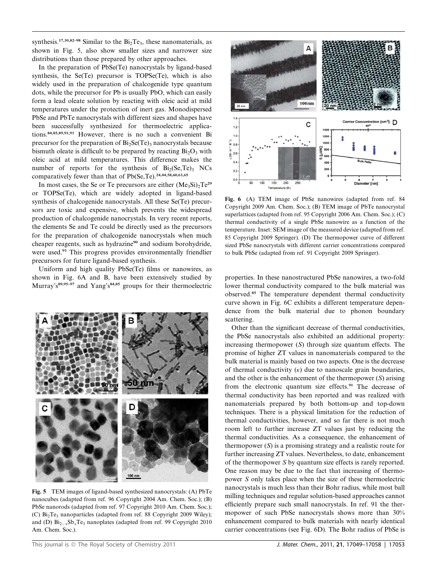synthesis.<sup>17,30,82–98</sup> Similar to the  $Bi_2Te_3$ , these nanomaterials, as shown in Fig. 5, also show smaller sizes and narrower size distributions than those prepared by other approaches.

In the preparation of PbSe(Te) nanocrystals by ligand-based synthesis, the Se(Te) precursor is TOPSe(Te), which is also widely used in the preparation of chalcogenide type quantum dots, while the precursor for Pb is usually PbO, which can easily form a lead oleate solution by reacting with oleic acid at mild temperatures under the protection of inert gas. Monodispersed PbSe and PbTe nanocrystals with different sizes and shapes have been successfully synthesized for thermoelectric applications.84,85,89,91,93 However, there is no such a convenient Bi precursor for the preparation of  $Bi<sub>2</sub>Se(Te)<sub>3</sub>$  nanocrystals because bismuth oleate is difficult to be prepared by reacting  $Bi<sub>2</sub>O<sub>3</sub>$  with oleic acid at mild temperatures. This difference makes the number of reports for the synthesis of  $Bi_2(Se,Te)_3$  NCs comparatively fewer than that of  $Pb(Se,Te)$ .<sup>24,44,58,60,63,65</sup>

In most cases, the Se or Te precursors are either  $(Me_3Si)_2Te^{29}$ or TOPSe(Te), which are widely adopted in ligand-based synthesis of chalcogenide nanocrystals. All these Se(Te) precursors are toxic and expensive, which prevents the widespread production of chalcogenide nanocrystals. In very recent reports, the elements Se and Te could be directly used as the precursors for the preparation of chalcogenide nanocrystals when much cheaper reagents, such as hydrazine<sup>90</sup> and sodium borohydride, were used.<sup>93</sup> This progress provides environmentally friendlier precursors for future ligand-based synthesis.

Uniform and high quality PbSe(Te) films or nanowires, as shown in Fig. 6A and B, have been extensively studied by Murray's<sup>89,95–97</sup> and Yang's<sup>84,85</sup> groups for their thermoelectric



Fig. 5 TEM images of ligand-based synthesized nanocrystals: (A) PbTe nanocubes (adapted from ref. 96 Copyright 2004 Am. Chem. Soc.); (B) PbSe nanorods (adapted from ref. 97 Copyright 2010 Am. Chem. Soc.); (C) Bi2Te3 nanoparticles (adapted from ref. 88 Copyright 2009 Wiley); and (D)  $Bi_{2-x}Sb_xTe_3$  nanoplates (adapted from ref. 99 Copyright 2010 Am. Chem. Soc.).



Fig. 6 (A) TEM image of PbSe nanowires (adapted from ref. 84 Copyright 2009 Am. Chem. Soc.); (B) TEM image of PbTe nanocrystal superlattices (adapted from ref. 95 Copyright 2006 Am. Chem. Soc.); (C) thermal conductivity of a single PbSe nanowire as a function of the temperature. Inset: SEM image of the measured device (adapted from ref. 85 Copyright 2009 Springer). (D) The thermopower curve of different sized PbSe nanocrystals with different carrier concentrations compared to bulk PbSe (adapted from ref. 91 Copyright 2009 Springer).

properties. In these nanostructured PbSe nanowires, a two-fold lower thermal conductivity compared to the bulk material was observed.<sup>85</sup> The temperature dependent thermal conductivity curve shown in Fig. 6C exhibits a different temperature dependence from the bulk material due to phonon boundary scattering.

Other than the significant decrease of thermal conductivities, the PbSe nanocrystals also exhibited an additional property: increasing thermopower (S) through size quantum effects. The promise of higher ZT values in nanomaterials compared to the bulk material is mainly based on two aspects. One is the decrease of thermal conductivity  $(\kappa)$  due to nanoscale grain boundaries, and the other is the enhancement of the thermopower  $(S)$  arising from the electronic quantum size effects.<sup>91</sup> The decrease of thermal conductivity has been reported and was realized with nanomaterials prepared by both bottom-up and top-down techniques. There is a physical limitation for the reduction of thermal conductivities, however, and so far there is not much room left to further increase ZT values just by reducing the thermal conductivities. As a consequence, the enhancement of thermopower  $(S)$  is a promising strategy and a realistic route for further increasing ZT values. Nevertheless, to date, enhancement of the thermopower S by quantum size effects is rarely reported. One reason may be due to the fact that increasing of thermopower S only takes place when the size of these thermoelectric nanocrystals is much less than their Bohr radius, while most ball milling techniques and regular solution-based approaches cannot efficiently prepare such small nanocrystals. In ref. 91 the thermopower of such PbSe nanocrystals shows more than 30% enhancement compared to bulk materials with nearly identical carrier concentrations (see Fig. 6D). The Bohr radius of PbSe is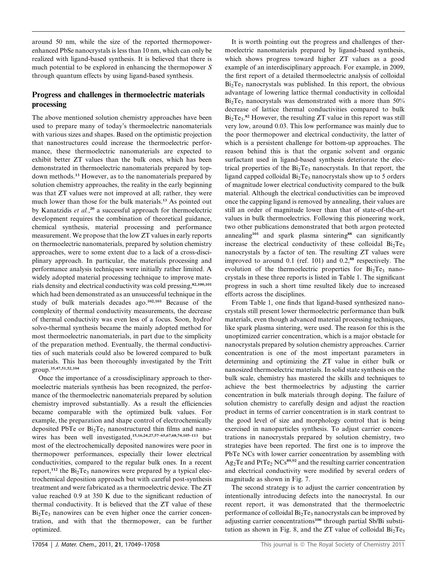around 50 nm, while the size of the reported thermopowerenhanced PbSe nanocrystals is less than 10 nm, which can only be realized with ligand-based synthesis. It is believed that there is much potential to be explored in enhancing the thermopower S through quantum effects by using ligand-based synthesis.

## Progress and challenges in thermoelectric materials processing

The above mentioned solution chemistry approaches have been used to prepare many of today's thermoelectric nanomaterials with various sizes and shapes. Based on the optimistic projection that nanostructures could increase the thermoelectric performance, these thermoelectric nanomaterials are expected to exhibit better ZT values than the bulk ones, which has been demonstrated in thermoelectric nanomaterials prepared by topdown methods.<sup>13</sup> However, as to the nanomaterials prepared by solution chemistry approaches, the reality in the early beginning was that ZT values were not improved at all; rather, they were much lower than those for the bulk materials.<sup>13</sup> As pointed out by Kanatzidis et al.,<sup>20</sup> a successful approach for thermoelectric development requires the combination of theoretical guidance, chemical synthesis, material processing and performance measurement. We propose that the low ZT values in early reports on thermoelectric nanomaterials, prepared by solution chemistry approaches, were to some extent due to a lack of a cross-disciplinary approach. In particular, the materials processing and performance analysis techniques were initially rather limited. A widely adopted material processing technique to improve materials density and electrical conductivity was cold pressing,82,100,101 which had been demonstrated as an unsuccessful technique in the study of bulk materials decades ago.102,103 Because of the complexity of thermal conductivity measurements, the decrease of thermal conductivity was even less of a focus. Soon, hydro/ solvo-thermal synthesis became the mainly adopted method for most thermoelectric nanomaterials, in part due to the simplicity of the preparation method. Eventually, the thermal conductivities of such materials could also be lowered compared to bulk materials. This has been thoroughly investigated by the Tritt group.35,47,51,52,104

Once the importance of a crossdisciplinary approach to thermoelectric materials synthesis has been recognized, the performance of the thermoelectric nanomaterials prepared by solution chemistry improved substantially. As a result the efficiencies became comparable with the optimized bulk values. For example, the preparation and shape control of electrochemically deposited PbTe or  $Bi<sub>2</sub>Te<sub>3</sub>$  nanostructured thin films and nanowires has been well investigated,<sup>15,16,24,27,57-65,67,68,74,105-113</sup> but most of the electrochemically deposited nanowires were poor in thermopower performances, especially their lower electrical conductivities, compared to the regular bulk ones. In a recent report,<sup>112</sup> the  $Bi<sub>2</sub>Te<sub>3</sub>$  nanowires were prepared by a typical electrochemical deposition approach but with careful post-synthesis treatment and were fabricated as a thermoelectric device. The ZT value reached 0.9 at 350 K due to the significant reduction of thermal conductivity. It is believed that the ZT value of these  $Bi<sub>2</sub>Te<sub>3</sub>$  nanowires can be even higher once the carrier concentration, and with that the thermopower, can be further optimized.

It is worth pointing out the progress and challenges of thermoelectric nanomaterials prepared by ligand-based synthesis, which shows progress toward higher ZT values as a good example of an interdisciplinary approach. For example, in 2009, the first report of a detailed thermoelectric analysis of colloidal  $Bi<sub>2</sub>Te<sub>3</sub>$  nanocrystals was published. In this report, the obvious advantage of lowering lattice thermal conductivity in colloidal  $Bi<sub>2</sub>Te<sub>3</sub>$  nanocrystals was demonstrated with a more than 50% decrease of lattice thermal conductivities compared to bulk  $Bi<sub>2</sub>Te<sub>3</sub>$ .<sup>82</sup> However, the resulting ZT value in this report was still very low, around 0.03. This low performance was mainly due to the poor thermopower and electrical conductivity, the latter of which is a persistent challenge for bottom-up approaches. The reason behind this is that the organic solvent and organic surfactant used in ligand-based synthesis deteriorate the electrical properties of the  $Bi<sub>2</sub>Te<sub>3</sub>$  nanocrystals. In that report, the ligand capped colloidal  $Bi<sub>2</sub>Te<sub>3</sub>$  nanocrystals show up to 5 orders of magnitude lower electrical conductivity compared to the bulk material. Although the electrical conductivities can be improved once the capping ligand is removed by annealing, their values are still an order of magnitude lower than that of state-of-the-art values in bulk thermoelectrics. Following this pioneering work, two other publications demonstrated that both argon protected annealing<sup>101</sup> and spark plasma sintering<sup>88</sup> can significantly increase the electrical conductivity of these colloidal  $Bi<sub>2</sub>Te<sub>3</sub>$ nanocrystals by a factor of ten. The resulting ZT values were improved to around  $0.1$  (ref. 101) and  $0.2$ ,<sup>88</sup> respectively. The evolution of the thermoelectric properties for  $Bi<sub>2</sub>Te<sub>3</sub>$  nanocrystals in these three reports is listed in Table 1. The significant progress in such a short time resulted likely due to increased efforts across the disciplines.

From Table 1, one finds that ligand-based synthesized nanocrystals still present lower thermoelectric performance than bulk materials, even though advanced material processing techniques, like spark plasma sintering, were used. The reason for this is the unoptimized carrier concentration, which is a major obstacle for nanocrystals prepared by solution chemistry approaches. Carrier concentration is one of the most important parameters in determining and optimizing the ZT value in either bulk or nanosized thermoelectric materials. In solid state synthesis on the bulk scale, chemistry has mastered the skills and techniques to achieve the best thermoelectrics by adjusting the carrier concentration in bulk materials through doping. The failure of solution chemistry to carefully design and adjust the reaction product in terms of carrier concentration is in stark contrast to the good level of size and morphology control that is being exercised in nanoparticles synthesis. To adjust carrier concentrations in nanocrystals prepared by solution chemistry, two strategies have been reported. The first one is to improve the PbTe NCs with lower carrier concentration by assembling with  $\text{Ag}_2\text{Te}$  and  $\text{PtTe}_2$  NCs<sup>89,92</sup> and the resulting carrier concentration and electrical conductivity were modified by several orders of magnitude as shown in Fig. 7.

The second strategy is to adjust the carrier concentration by intentionally introducing defects into the nanocrystal. In our recent report, it was demonstrated that the thermoelectric performance of colloidal  $Bi<sub>2</sub>Te<sub>3</sub>$  nanocrystals can be improved by adjusting carrier concentrations<sup>100</sup> through partial Sb/Bi substitution as shown in Fig. 8, and the ZT value of colloidal  $Bi_2Te_3$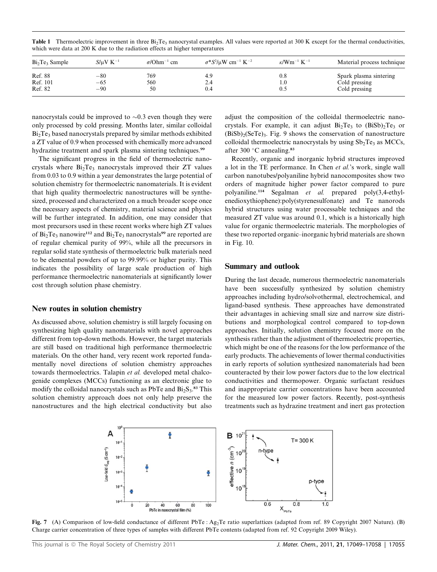|  |  | Table 1 Thermoelectric improvement in three $Bi_2Te_3$ nanocrystal examples. All values were reported at 300 K except for the thermal conductivities, |  |  |  |
|--|--|-------------------------------------------------------------------------------------------------------------------------------------------------------|--|--|--|
|  |  | which were data at 200 K due to the radiation effects at higher temperatures                                                                          |  |  |  |

| $Bi2Te3$ Sample | $S/uV K^{-1}$ | $\sigma$ /Ohm <sup>-1</sup> cm | $\sigma^*S^2/\mu W$ cm <sup>-1</sup> K <sup>-2</sup> | $\kappa$ /Wm <sup>-1</sup> K <sup>-1</sup> | Material process technique |
|-----------------|---------------|--------------------------------|------------------------------------------------------|--------------------------------------------|----------------------------|
| Ref. 88         | $-80$         | 769                            | 4.9                                                  | $_{0.8}$                                   | Spark plasma sintering     |
| Ref. 101        | $-65$         | 560                            | 2.4                                                  | 1.0                                        | Cold pressing              |
| Ref. 82         | $-90$         | 50                             | 0.4                                                  | 0.5                                        | Cold pressing              |

nanocrystals could be improved to  $\sim 0.3$  even though they were only processed by cold pressing. Months later, similar colloidal  $Bi<sub>2</sub>Te<sub>3</sub>$  based nanocrystals prepared by similar methods exhibited a ZT value of 0.9 when processed with chemically more advanced hydrazine treatment and spark plasma sintering techniques.<sup>99</sup>

The significant progress in the field of thermoelectric nanocrystals where  $Bi<sub>2</sub>Te<sub>3</sub>$  nanocrystals improved their ZT values from 0.03 to 0.9 within a year demonstrates the large potential of solution chemistry for thermoelectric nanomaterials. It is evident that high quality thermoelectric nanostructures will be synthesized, processed and characterized on a much broader scope once the necessary aspects of chemistry, material science and physics will be further integrated. In addition, one may consider that most precursors used in these recent works where high ZT values of  $Bi_2Te_3$  nanowire<sup>112</sup> and  $Bi_2Te_3$  nanocrystals<sup>99</sup> are reported are of regular chemical purity of 99%, while all the precursors in regular solid state synthesis of thermoelectric bulk materials need to be elemental powders of up to 99.99% or higher purity. This indicates the possibility of large scale production of high performance thermoelectric nanomaterials at significantly lower cost through solution phase chemistry.

#### New routes in solution chemistry

As discussed above, solution chemistry is still largely focusing on synthesizing high quality nanomaterials with novel approaches different from top-down methods. However, the target materials are still based on traditional high performance thermoelectric materials. On the other hand, very recent work reported fundamentally novel directions of solution chemistry approaches towards thermoelectrics. Talapin et al. developed metal chalcogenide complexes (MCCs) functioning as an electronic glue to modify the colloidal nanocrystals such as  $PbTe$  and  $Bi_2S_3$ .<sup>83</sup> This solution chemistry approach does not only help preserve the nanostructures and the high electrical conductivity but also

adjust the composition of the colloidal thermoelectric nanocrystals. For example, it can adjust  $Bi<sub>2</sub>Te<sub>3</sub>$  to  $(BiSb)<sub>2</sub>Te<sub>3</sub>$  or  $(BiSb)$ <sub>2</sub>(SeTe)<sub>3</sub>. Fig. 9 shows the conservation of nanostructure colloidal thermoelectric nanocrystals by using  $Sb<sub>2</sub>Te<sub>3</sub>$  as MCCs, after 300 $\degree$ C annealing.<sup>83</sup>

Recently, organic and inorganic hybrid structures improved a lot in the TE performance. In Chen et al.'s work, single wall carbon nanotubes/polyaniline hybrid nanocomposites show two orders of magnitude higher power factor compared to pure polyaniline.<sup>114</sup> Segalman et al. prepared poly(3,4-ethylenedioxythiophene):poly(styrenesulfonate) and Te nanorods hybrid structures using water processable techniques and the measured ZT value was around 0.1, which is a historically high value for organic thermoelectric materials. The morphologies of these two reported organic–inorganic hybrid materials are shown in Fig. 10.

#### Summary and outlook

During the last decade, numerous thermoelectric nanomaterials have been successfully synthesized by solution chemistry approaches including hydro/solvothermal, electrochemical, and ligand-based synthesis. These approaches have demonstrated their advantages in achieving small size and narrow size distributions and morphological control compared to top-down approaches. Initially, solution chemistry focused more on the synthesis rather than the adjustment of thermoelectric properties, which might be one of the reasons for the low performance of the early products. The achievements of lower thermal conductivities in early reports of solution synthesized nanomaterials had been counteracted by their low power factors due to the low electrical conductivities and thermopower. Organic surfactant residues and inappropriate carrier concentrations have been accounted for the measured low power factors. Recently, post-synthesis treatments such as hydrazine treatment and inert gas protection



Fig. 7 (A) Comparison of low-field conductance of different PbTe : Ag<sub>2</sub>Te ratio superlattices (adapted from ref. 89 Copyright 2007 Nature). (B) Charge carrier concentration of three types of samples with different PbTe contents (adapted from ref. 92 Copyright 2009 Wiley).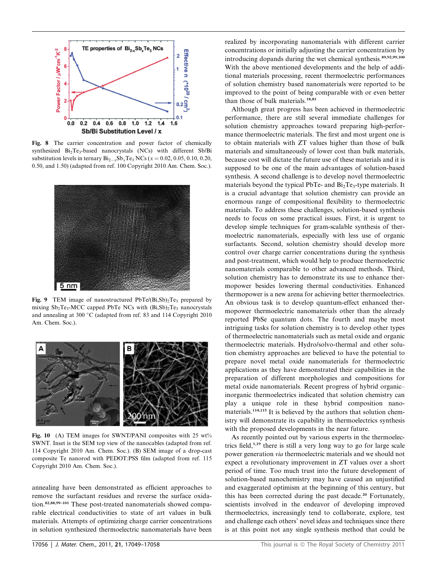

Fig. 8 The carrier concentration and power factor of chemically synthesized  $Bi_2Te_3$ -based nanocrystals (NCs) with different Sb/Bi substitution levels in ternary  $Bi_{2-x}Sb_xTe_3 NCs$  ( $x = 0.02, 0.05, 0.10, 0.20$ , 0.50, and 1.50) (adapted from ref. 100 Copyright 2010 Am. Chem. Soc.).



Fig. 9 TEM image of nanostructured  $PbTe/(Bi, Sb)<sub>2</sub>Te<sub>3</sub>$  prepared by mixing  $Sb_2Te_3-MCC$  capped PbTe NCs with  $(Bi, Sb)_2Te_3$  nanocrystals and annealing at 300 °C (adapted from ref. 83 and 114 Copyright 2010 Am. Chem. Soc.).



Fig. 10 (A) TEM images for SWNT/PANI composites with 25 wt% SWNT. Inset is the SEM top view of the nanocables (adapted from ref. 114 Copyright 2010 Am. Chem. Soc.). (B) SEM image of a drop-cast composite Te nanorod with PEDOT:PSS film (adapted from ref. 115 Copyright 2010 Am. Chem. Soc.).

annealing have been demonstrated as efficient approaches to remove the surfactant residues and reverse the surface oxidation.82,88,99–101 These post-treated nanomaterials showed comparable electrical conductivities to state of art values in bulk materials. Attempts of optimizing charge carrier concentrations in solution synthesized thermoelectric nanomaterials have been

realized by incorporating nanomaterials with different carrier concentrations or initially adjusting the carrier concentration by introducing dopands during the wet chemical synthesis.89,92,99,100 With the above mentioned developments and the help of additional materials processing, recent thermoelectric performances of solution chemistry based nanomaterials were reported to be improved to the point of being comparable with or even better than those of bulk materials.18,83

Although great progress has been achieved in thermoelectric performance, there are still several immediate challenges for solution chemistry approaches toward preparing high-performance thermoelectric materials. The first and most urgent one is to obtain materials with ZT values higher than those of bulk materials and simultaneously of lower cost than bulk materials, because cost will dictate the future use of these materials and it is supposed to be one of the main advantages of solution-based synthesis. A second challenge is to develop novel thermoelectric materials beyond the typical PbTe- and  $Bi<sub>2</sub>Te<sub>3</sub>$ -type materials. It is a crucial advantage that solution chemistry can provide an enormous range of compositional flexibility to thermoelectric materials. To address these challenges, solution-based synthesis needs to focus on some practical issues. First, it is urgent to develop simple techniques for gram-scalable synthesis of thermoelectric nanomaterials, especially with less use of organic surfactants. Second, solution chemistry should develop more control over charge carrier concentrations during the synthesis and post-treatment, which would help to produce thermoelectric nanomaterials comparable to other advanced methods. Third, solution chemistry has to demonstrate its use to enhance thermopower besides lowering thermal conductivities. Enhanced thermopower is a new arena for achieving better thermoelectrics. An obvious task is to develop quantum-effect enhanced thermopower thermoelectric nanomaterials other than the already reported PbSe quantum dots. The fourth and maybe most intriguing tasks for solution chemistry is to develop other types of thermoelectric nanomaterials such as metal oxide and organic thermoelectric materials. Hydro/solvo-thermal and other solution chemistry approaches are believed to have the potential to prepare novel metal oxide nanomaterials for thermoelectric applications as they have demonstrated their capabilities in the preparation of different morphologies and compositions for metal oxide nanomaterials. Recent progress of hybrid organic– inorganic thermoelectrics indicated that solution chemistry can play a unique role in these hybrid composition nanomaterials.114,115 It is believed by the authors that solution chemistry will demonstrate its capability in thermoelectrics synthesis with the proposed developments in the near future.

As recently pointed out by various experts in the thermoelectrics field, $1,19$  there is still a very long way to go for large scale power generation via thermoelectric materials and we should not expect a revolutionary improvement in ZT values over a short period of time. Too much trust into the future development of solution-based nanochemistry may have caused an unjustified and exaggerated optimism at the beginning of this century, but this has been corrected during the past decade.<sup>20</sup> Fortunately, scientists involved in the endeavor of developing improved thermoelectrics, increasingly tend to collaborate, explore, test and challenge each others' novel ideas and techniques since there is at this point not any single synthesis method that could be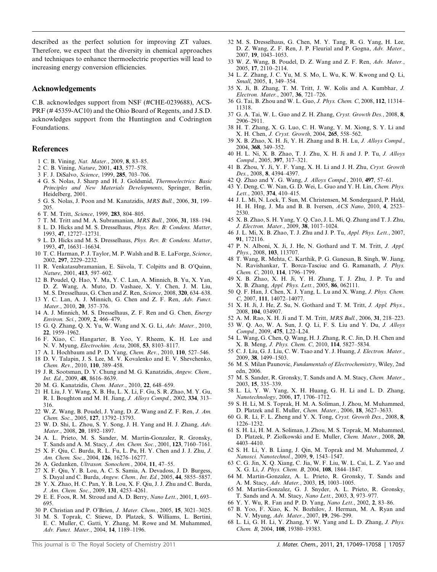described as the perfect solution for improving ZT values. Therefore, we expect that the diversity in chemical approaches and techniques to enhance thermoelectric properties will lead to increasing energy conversion efficiencies.

#### Acknowledgements

C.B. acknowledges support from NSF (#CHE-0239688), ACS-PRF (# 45359-AC10) and the Ohio Board of Regents, and J.S.D. acknowledges support from the Huntington and Codrington Foundations.

#### References

- 1 C. B. Vining, Nat. Mater., 2009, 8, 83–85.
- 2 C. B. Vining, Nature, 2001, 413, 577–578.
- 3 F. J. DiSalvo, Science, 1999, 285, 703–706.
- 4 G. S. Nolas, J. Sharp and H. J. Goldsmid, Thermoelectrics: Basic Principles and New Materials Developments, Springer, Berlin, Heidelberg, 2001.
- 5 G. S. Nolas, J. Poon and M. Kanatzidis, MRS Bull., 2006, 31, 199– 205.
- 6 T. M. Tritt, Science, 1999, 283, 804–805.
- 7 T. M. Tritt and M. A. Subramanian, MRS Bull., 2006, 31, 188–194.
- 8 L. D. Hicks and M. S. Dresselhaus, Phys. Rev. B: Condens. Matter, 1993, 47, 12727–12731.
- 9 L. D. Hicks and M. S. Dresselhaus, Phys. Rev. B: Condens. Matter, 1993, 47, 16631–16634.
- 10 T. C. Harman, P. J. Taylor, M. P. Walsh and B. E. LaForge, Science, 2002, 297, 2229–2232.
- 11 R. Venkatasubramanian, E. Siivola, T. Colpitts and B. O'Quinn, Nature, 2001, 413, 597–602.
- 12 B. Poudel, Q. Hao, Y. Ma, Y. C. Lan, A. Minnich, B. Yu, X. Yan, D. Z. Wang, A. Muto, D. Vashaee, X. Y. Chen, J. M. Liu, M. S. Dresselhaus, G. Chen and Z. Ren, Science, 2008, 320, 634–638.
- 13 Y. C. Lan, A. J. Minnich, G. Chen and Z. F. Ren, Adv. Funct. Mater., 2010, 20, 357–376.
- 14 A. J. Minnich, M. S. Dresselhaus, Z. F. Ren and G. Chen, Energy Environ. Sci., 2009, 2, 466–479.
- 15 G. Q. Zhang, Q. X. Yu, W. Wang and X. G. Li, Adv. Mater., 2010, 22, 1959–1962.
- 16 F. Xiao, C. Hangarter, B. Yoo, Y. Rheem, K. H. Lee and N. V. Myung, Electrochim. Acta, 2008, 53, 8103–8117.
- 17 A. I. Hochbaum and P. D. Yang, Chem. Rev., 2010, 110, 527–546.
- 18 D. V. Talapin, J. S. Lee, M. V. Kovalenko and E. V. Shevchenko, Chem. Rev., 2010, 110, 389–458.
- 19 J. R. Sootsman, D. Y. Chung and M. G. Kanatzidis, Angew. Chem., Int. Ed., 2009, 48, 8616–8639.
- 20 M. G. Kanatzidis, Chem. Mater., 2010, 22, 648–659.
- 21 H. Liu, J. Y. Wang, X. B. Hu, L. X. Li, F. Gu, S. R. Zhao, M. Y. Gu, R. I. Boughton and M. H. Jiang, J. Alloys Compd., 2002, 334, 313– 316.
- 22 W. Z. Wang, B. Poudel, J. Yang, D. Z. Wang and Z. F. Ren, J. Am. Chem. Soc., 2005, 127, 13792–13793.
- 23 W. D. Shi, L. Zhou, S. Y. Song, J. H. Yang and H. J. Zhang, Adv. Mater., 2008, 20, 1892–1897.
- 24 A. L. Prieto, M. S. Sander, M. Martin-Gonzalez, R. Gronsky, T. Sands and A. M. Stacy, J. Am. Chem. Soc., 2001, 123, 7160–7161.
- 25 X. F. Qiu, C. Burda, R. L. Fu, L. Pu, H. Y. Chen and J. J. Zhu, J. Am. Chem. Soc., 2004, 126, 16276–16277.
- 26 A. Gedanken, Ultrason. Sonochem., 2004, 11, 47–55.
- 27 X. F. Qiu, Y. B. Lou, A. C. S. Samia, A. Devadoss, J. D. Burgess,
- S. Dayal and C. Burda, Angew. Chem., Int. Ed., 2005, 44, 5855–5857. 28 Y. X. Zhao, H. C. Pan, Y. B. Lou, X. F. Qiu, J. J. Zhu and C. Burda, J. Am. Chem. Soc., 2009, 131, 4253–4261.
- 29 E. E. Foos, R. M. Stroud and A. D. Berry, Nano Lett., 2001, 1, 693-695.
- 30 P. Christian and P. O'Brien, J. Mater. Chem., 2005, 15, 3021–3025.
- 31 M. S. Toprak, C. Stiewe, D. Platzek, S. Williams, L. Bertini, E. C. Muller, C. Gatti, Y. Zhang, M. Rowe and M. Muhammed, Adv. Funct. Mater., 2004, 14, 1189–1196.
- 32 M. S. Dresselhaus, G. Chen, M. Y. Tang, R. G. Yang, H. Lee, D. Z. Wang, Z. F. Ren, J. P. Fleurial and P. Gogna, Adv. Mater., 2007, 19, 1043–1053.
- 33 W. Z. Wang, B. Poudel, D. Z. Wang and Z. F. Ren, Adv. Mater., 2005, 17, 2110–2114.
- 34 L. Z. Zhang, J. C. Yu, M. S. Mo, L. Wu, K. W. Kwong and Q. Li, Small, 2005, 1, 349–354.
- 35 X. Ji, B. Zhang, T. M. Tritt, J. W. Kolis and A. Kumbhar, J. Electron. Mater., 2007, 36, 721–726.
- 36 G. Tai, B. Zhou and W. L. Guo, J. Phys. Chem. C, 2008, 112, 11314– 11318.
- 37 G. A. Tai, W. L. Guo and Z. H. Zhang, Cryst. Growth Des., 2008, 8, 2906–2911.
- 38 H. T. Zhang, X. G. Luo, C. H. Wang, Y. M. Xiong, S. Y. Li and X. H. Chen, J. Cryst. Growth, 2004, 265, 558–562.
- 39 X. B. Zhao, X. H. Ji, Y. H. Zhang and B. H. Lu, J. Alloys Compd., 2004, 368, 349–352.
- 40 H. L. Ni, X. B. Zhao, T. J. Zhu, X. H. Ji and J. P. Tu, J. Alloys Compd., 2005, 397, 317–321.
- 41 B. Zhou, Y. Ji, Y. F. Yang, X. H. Li and J. H. Zhu, Cryst. Growth Des., 2008, 8, 4394–4397.
- 42 Q. Zhao and Y. G. Wang, J. Alloys Compd., 2010, 497, 57–61.
- 43 Y. Deng, C. W. Nan, G. D. Wei, L. Guo and Y. H. Lin, Chem. Phys. Lett., 2003, 374, 410–415.
- 44 J. L. Mi, N. Lock, T. Sun, M. Christensen, M. Sondergaard, P. Hald, H. H. Hng, J. Ma and B. B. Iversen, ACS Nano, 2010, 4, 2523– 2530.
- 45 X. B. Zhao, S. H. Yang, Y. Q. Cao, J. L. Mi, Q. Zhang and T. J. Zhu, J. Electron. Mater., 2009, 38, 1017–1024.
- 46 J. L. Mi, X. B. Zhao, T. J. Zhu and J. P. Tu, Appl. Phys. Lett., 2007, 91, 172116.
- 47 P. N. Alboni, X. Ji, J. He, N. Gothard and T. M. Tritt, J. Appl. Phys., 2008, 103, 113707.
- 48 T. Wang, R. Mehta, C. Karthik, P. G. Ganesan, B. Singh, W. Jiang, N. Ravishankar, T. Borca-Tasciuc and G. Ramanath, J. Phys. Chem. C, 2010, 114, 1796–1799.
- 49 X. B. Zhao, X. H. Ji, Y. H. Zhang, T. J. Zhu, J. P. Tu and X. B. Zhang, Appl. Phys. Lett., 2005, 86, 062111.
- 50 Q. F. Han, J. Chen, X. J. Yang, L. Lu and X. Wang, J. Phys. Chem. C, 2007, 111, 14072–14077.
- 51 X. H. Ji, J. He, Z. Su, N. Gothard and T. M. Tritt, J. Appl. Phys., 2008, 104, 034907.
- 52 A. M. Rao, X. H. Ji and T. M. Tritt, MRS Bull., 2006, 31, 218–223.
- 53 W. Q. Ao, W. A. Sun, J. Q. Li, F. S. Liu and Y. Du, J. Alloys Compd., 2009, 475, L22–L24.
- 54 L. Wang, G. Chen, Q. Wang, H. J. Zhang, R. C. Jin, D. H. Chen and X. B. Meng, J. Phys. Chem. C, 2010, 114, 5827–5834.
- 55 C. J. Liu, G. J. Liu, C. W. Tsao and Y. J. Huang, J. Electron. Mater., 2009, 38, 1499–1503.
- 56 M. S. Milan Paunovic, Fundamentals of Electrochemistry, Wiley, 2nd edn, 2006.
- 57 M. S. Sander, R. Gronsky, T. Sands and A. M. Stacy, Chem. Mater., 2003, 15, 335–339.
- 58 L. Li, Y. W. Yang, X. H. Huang, G. H. Li and L. D. Zhang, Nanotechnology, 2006, 17, 1706–1712.
- 59 S. H. Li, M. S. Toprak, H. M. A. Soliman, J. Zhou, M. Muhammed, D. Platzek and E. Muller, Chem. Mater., 2006, 18, 3627–3633.
- 60 G. R. Li, F. L. Zheng and Y. X. Tong, Cryst. Growth Des., 2008, 8, 1226–1232.
- 61 S. H. Li, H. M. A. Soliman, J. Zhou, M. S. Toprak, M. Muhammed, D. Platzek, P. Ziolkowski and E. Muller, Chem. Mater., 2008, 20, 4403–4410.
- 62 S. H. Li, Y. B. Liang, J. Qin, M. Toprak and M. Muhammed, J. Nanosci. Nanotechnol., 2009, 9, 1543–1547.
- 63 C. G. Jin, X. Q. Xiang, C. Jia, W. F. Liu, W. L. Cai, L. Z. Yao and X. G. Li, J. Phys. Chem. B, 2004, 108, 1844–1847.
- 64 M. Martin-Gonzalez, A. L. Prieto, R. Gronsky, T. Sands and A. M. Stacy, Adv. Mater., 2003, 15, 1003–1005.
- 65 M. Martin-Gonzalez, G. J. Snyder, A. L. Prieto, R. Gronsky, T. Sands and A. M. Stacy, Nano Lett., 2003, 3, 973–977.
- 66 Y. Y. Wu, R. Fan and P. D. Yang, Nano Lett., 2002, 2, 83–86.
- 67 B. Yoo, F. Xiao, K. N. Bozhilov, J. Herman, M. A. Ryan and N. V. Myung, Adv. Mater., 2007, 19, 296–299.
- 68 L. Li, G. H. Li, Y. Zhang, Y. W. Yang and L. D. Zhang, J. Phys. Chem. B, 2004, 108, 19380–19383.